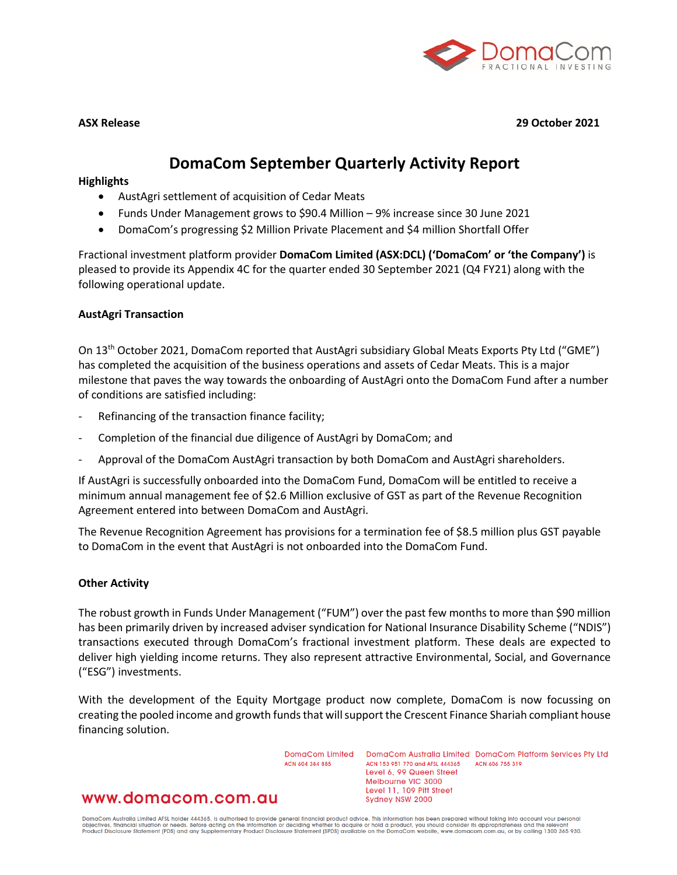

**ASX Release 29 October 2021**

# **DomaCom September Quarterly Activity Report**

#### **Highlights**

- AustAgri settlement of acquisition of Cedar Meats
- Funds Under Management grows to \$90.4 Million 9% increase since 30 June 2021
- DomaCom's progressing \$2 Million Private Placement and \$4 million Shortfall Offer

Fractional investment platform provider **DomaCom Limited (ASX:DCL) ('DomaCom' or 'the Company')** is pleased to provide its Appendix 4C for the quarter ended 30 September 2021 (Q4 FY21) along with the following operational update.

#### **AustAgri Transaction**

On 13th October 2021, DomaCom reported that AustAgri subsidiary Global Meats Exports Pty Ltd ("GME") has completed the acquisition of the business operations and assets of Cedar Meats. This is a major milestone that paves the way towards the onboarding of AustAgri onto the DomaCom Fund after a number of conditions are satisfied including:

- Refinancing of the transaction finance facility;
- Completion of the financial due diligence of AustAgri by DomaCom; and
- Approval of the DomaCom AustAgri transaction by both DomaCom and AustAgri shareholders.

If AustAgri is successfully onboarded into the DomaCom Fund, DomaCom will be entitled to receive a minimum annual management fee of \$2.6 Million exclusive of GST as part of the Revenue Recognition Agreement entered into between DomaCom and AustAgri.

The Revenue Recognition Agreement has provisions for a termination fee of \$8.5 million plus GST payable to DomaCom in the event that AustAgri is not onboarded into the DomaCom Fund.

#### **Other Activity**

The robust growth in Funds Under Management ("FUM") over the past few months to more than \$90 million has been primarily driven by increased adviser syndication for National Insurance Disability Scheme ("NDIS") transactions executed through DomaCom's fractional investment platform. These deals are expected to deliver high yielding income returns. They also represent attractive Environmental, Social, and Governance ("ESG") investments.

With the development of the Equity Mortgage product now complete, DomaCom is now focussing on creating the pooled income and growth funds that will support the Crescent Finance Shariah compliant house financing solution.

ACN 604 384 885

www.domacom.com.au

DomaCom Limited DomaCom Australia Limited DomaCom Platform Services Pty Ltd ACN 153 951 770 and AFSL 444365 ACN 606 755 319 Level 6, 99 Queen Street Melbourne VIC 3000 Level 11, 109 Pitt Street Sydney NSW 2000

DomaCom Australia Limited AFSL holder 444365, is authorised to provide general financial product advice. This information has been prepared without taking into account your personal<br>objectives, financial situation or needs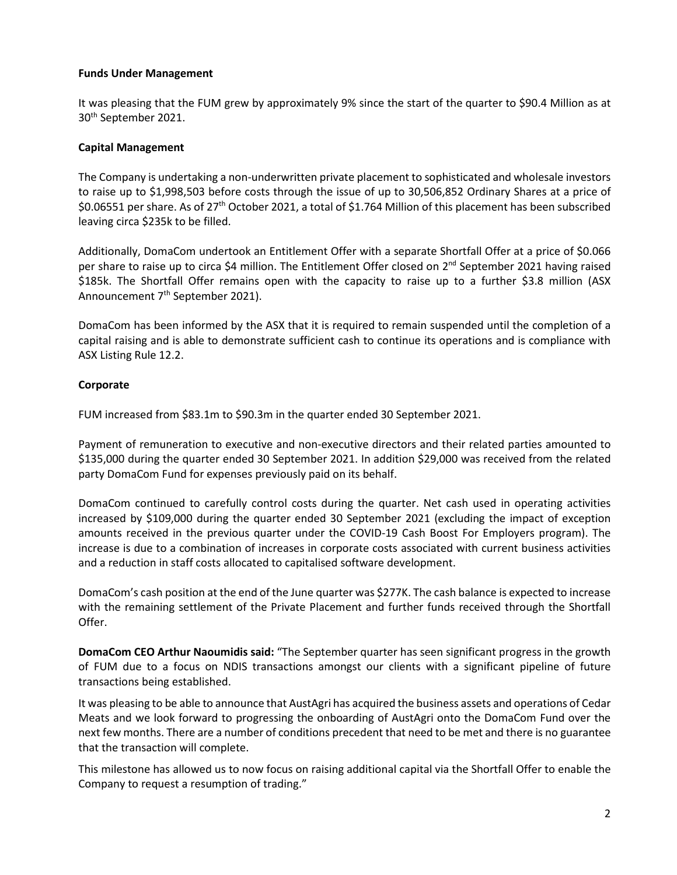# **Funds Under Management**

It was pleasing that the FUM grew by approximately 9% since the start of the quarter to \$90.4 Million as at 30th September 2021.

# **Capital Management**

The Company is undertaking a non-underwritten private placement to sophisticated and wholesale investors to raise up to \$1,998,503 before costs through the issue of up to 30,506,852 Ordinary Shares at a price of \$0.06551 per share. As of 27<sup>th</sup> October 2021, a total of \$1.764 Million of this placement has been subscribed leaving circa \$235k to be filled.

Additionally, DomaCom undertook an Entitlement Offer with a separate Shortfall Offer at a price of \$0.066 per share to raise up to circa \$4 million. The Entitlement Offer closed on 2<sup>nd</sup> September 2021 having raised \$185k. The Shortfall Offer remains open with the capacity to raise up to a further \$3.8 million (ASX Announcement 7<sup>th</sup> September 2021).

DomaCom has been informed by the ASX that it is required to remain suspended until the completion of a capital raising and is able to demonstrate sufficient cash to continue its operations and is compliance with ASX Listing Rule 12.2.

# **Corporate**

FUM increased from \$83.1m to \$90.3m in the quarter ended 30 September 2021.

Payment of remuneration to executive and non-executive directors and their related parties amounted to \$135,000 during the quarter ended 30 September 2021. In addition \$29,000 was received from the related party DomaCom Fund for expenses previously paid on its behalf.

DomaCom continued to carefully control costs during the quarter. Net cash used in operating activities increased by \$109,000 during the quarter ended 30 September 2021 (excluding the impact of exception amounts received in the previous quarter under the COVID-19 Cash Boost For Employers program). The increase is due to a combination of increases in corporate costs associated with current business activities and a reduction in staff costs allocated to capitalised software development.

DomaCom's cash position at the end of the June quarter was \$277K. The cash balance is expected to increase with the remaining settlement of the Private Placement and further funds received through the Shortfall Offer.

**DomaCom CEO Arthur Naoumidis said:** "The September quarter has seen significant progress in the growth of FUM due to a focus on NDIS transactions amongst our clients with a significant pipeline of future transactions being established.

It was pleasing to be able to announce that AustAgri has acquired the business assets and operations of Cedar Meats and we look forward to progressing the onboarding of AustAgri onto the DomaCom Fund over the next few months. There are a number of conditions precedent that need to be met and there is no guarantee that the transaction will complete.

This milestone has allowed us to now focus on raising additional capital via the Shortfall Offer to enable the Company to request a resumption of trading."